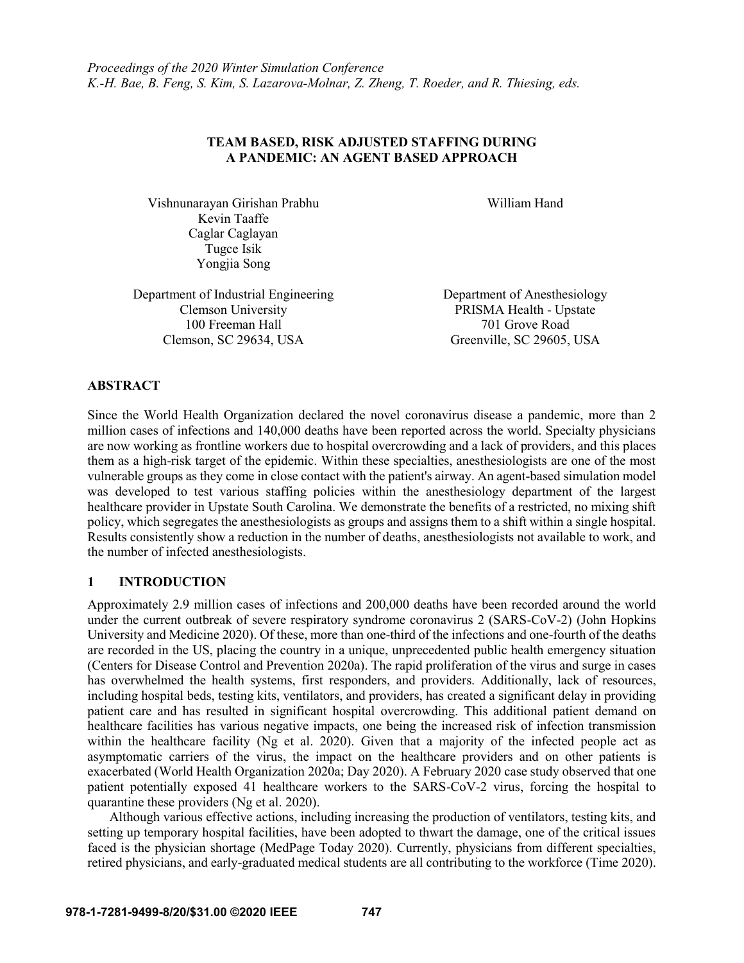# **TEAM BASED, RISK ADJUSTED STAFFING DURING A PANDEMIC: AN AGENT BASED APPROACH**

Vishnunarayan Girishan Prabhu William Hand Kevin Taaffe Caglar Caglayan Tugce Isik Yongjia Song

Department of Industrial Engineering Department of Anesthesiology 100 Freeman Hall 701 Grove Road Clemson, SC 29634, USA Greenville, SC 29605, USA

Clemson University PRISMA Health - Upstate

### **ABSTRACT**

Since the World Health Organization declared the novel coronavirus disease a pandemic, more than 2 million cases of infections and 140,000 deaths have been reported across the world. Specialty physicians are now working as frontline workers due to hospital overcrowding and a lack of providers, and this places them as a high-risk target of the epidemic. Within these specialties, anesthesiologists are one of the most vulnerable groups as they come in close contact with the patient's airway. An agent-based simulation model was developed to test various staffing policies within the anesthesiology department of the largest healthcare provider in Upstate South Carolina. We demonstrate the benefits of a restricted, no mixing shift policy, which segregates the anesthesiologists as groups and assigns them to a shift within a single hospital. Results consistently show a reduction in the number of deaths, anesthesiologists not available to work, and the number of infected anesthesiologists.

# **1 INTRODUCTION**

Approximately 2.9 million cases of infections and 200,000 deaths have been recorded around the world under the current outbreak of severe respiratory syndrome coronavirus 2 (SARS-CoV-2) (John Hopkins University and Medicine 2020). Of these, more than one-third of the infections and one-fourth of the deaths are recorded in the US, placing the country in a unique, unprecedented public health emergency situation (Centers for Disease Control and Prevention 2020a). The rapid proliferation of the virus and surge in cases has overwhelmed the health systems, first responders, and providers. Additionally, lack of resources, including hospital beds, testing kits, ventilators, and providers, has created a significant delay in providing patient care and has resulted in significant hospital overcrowding. This additional patient demand on healthcare facilities has various negative impacts, one being the increased risk of infection transmission within the healthcare facility (Ng et al. 2020). Given that a majority of the infected people act as asymptomatic carriers of the virus, the impact on the healthcare providers and on other patients is exacerbated (World Health Organization 2020a; Day 2020). A February 2020 case study observed that one patient potentially exposed 41 healthcare workers to the SARS-CoV-2 virus, forcing the hospital to quarantine these providers (Ng et al. 2020).

Although various effective actions, including increasing the production of ventilators, testing kits, and setting up temporary hospital facilities, have been adopted to thwart the damage, one of the critical issues faced is the physician shortage (MedPage Today 2020). Currently, physicians from different specialties, retired physicians, and early-graduated medical students are all contributing to the workforce (Time 2020).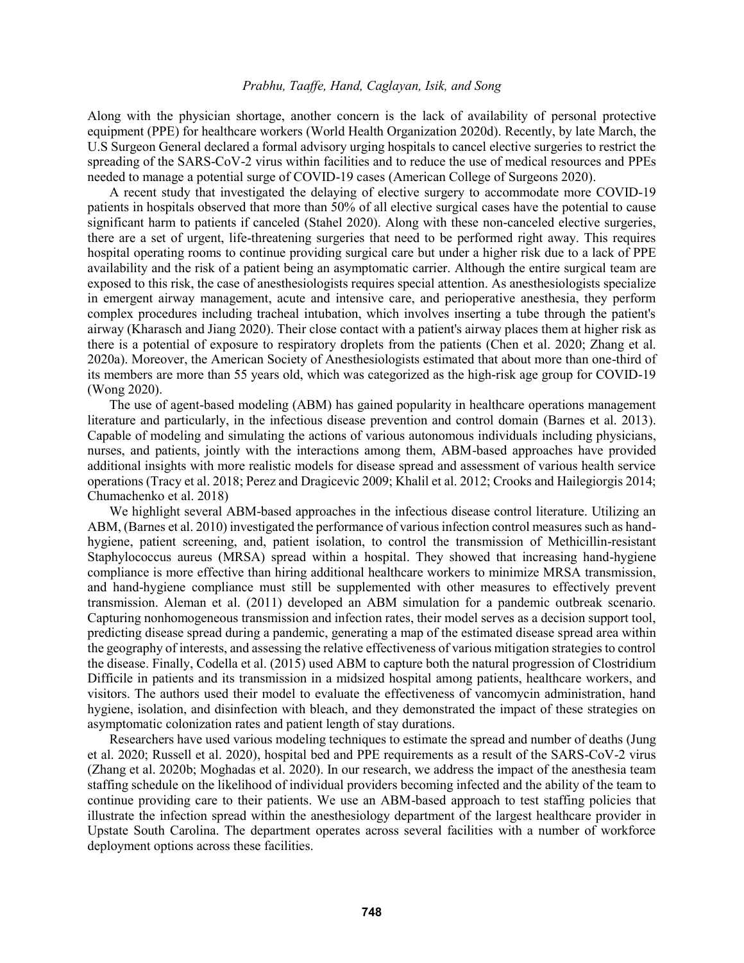Along with the physician shortage, another concern is the lack of availability of personal protective equipment (PPE) for healthcare workers (World Health Organization 2020d). Recently, by late March, the U.S Surgeon General declared a formal advisory urging hospitals to cancel elective surgeries to restrict the spreading of the SARS-CoV-2 virus within facilities and to reduce the use of medical resources and PPEs needed to manage a potential surge of COVID-19 cases (American College of Surgeons 2020).

A recent study that investigated the delaying of elective surgery to accommodate more COVID-19 patients in hospitals observed that more than 50% of all elective surgical cases have the potential to cause significant harm to patients if canceled (Stahel 2020). Along with these non-canceled elective surgeries, there are a set of urgent, life-threatening surgeries that need to be performed right away. This requires hospital operating rooms to continue providing surgical care but under a higher risk due to a lack of PPE availability and the risk of a patient being an asymptomatic carrier. Although the entire surgical team are exposed to this risk, the case of anesthesiologists requires special attention. As anesthesiologists specialize in emergent airway management, acute and intensive care, and perioperative anesthesia, they perform complex procedures including tracheal intubation, which involves inserting a tube through the patient's airway (Kharasch and Jiang 2020). Their close contact with a patient's airway places them at higher risk as there is a potential of exposure to respiratory droplets from the patients (Chen et al. 2020; Zhang et al. 2020a). Moreover, the American Society of Anesthesiologists estimated that about more than one-third of its members are more than 55 years old, which was categorized as the high-risk age group for COVID-19 (Wong 2020).

The use of agent-based modeling (ABM) has gained popularity in healthcare operations management literature and particularly, in the infectious disease prevention and control domain (Barnes et al. 2013). Capable of modeling and simulating the actions of various autonomous individuals including physicians, nurses, and patients, jointly with the interactions among them, ABM-based approaches have provided additional insights with more realistic models for disease spread and assessment of various health service operations (Tracy et al. 2018; Perez and Dragicevic 2009; Khalil et al. 2012; Crooks and Hailegiorgis 2014; Chumachenko et al. 2018)

We highlight several ABM-based approaches in the infectious disease control literature. Utilizing an ABM, (Barnes et al. 2010) investigated the performance of various infection control measures such as handhygiene, patient screening, and, patient isolation, to control the transmission of Methicillin-resistant Staphylococcus aureus (MRSA) spread within a hospital. They showed that increasing hand-hygiene compliance is more effective than hiring additional healthcare workers to minimize MRSA transmission, and hand-hygiene compliance must still be supplemented with other measures to effectively prevent transmission. Aleman et al. (2011) developed an ABM simulation for a pandemic outbreak scenario. Capturing nonhomogeneous transmission and infection rates, their model serves as a decision support tool, predicting disease spread during a pandemic, generating a map of the estimated disease spread area within the geography of interests, and assessing the relative effectiveness of various mitigation strategies to control the disease. Finally, Codella et al. (2015) used ABM to capture both the natural progression of Clostridium Difficile in patients and its transmission in a midsized hospital among patients, healthcare workers, and visitors. The authors used their model to evaluate the effectiveness of vancomycin administration, hand hygiene, isolation, and disinfection with bleach, and they demonstrated the impact of these strategies on asymptomatic colonization rates and patient length of stay durations.

Researchers have used various modeling techniques to estimate the spread and number of deaths (Jung et al. 2020; Russell et al. 2020), hospital bed and PPE requirements as a result of the SARS-CoV-2 virus (Zhang et al. 2020b; Moghadas et al. 2020). In our research, we address the impact of the anesthesia team staffing schedule on the likelihood of individual providers becoming infected and the ability of the team to continue providing care to their patients. We use an ABM-based approach to test staffing policies that illustrate the infection spread within the anesthesiology department of the largest healthcare provider in Upstate South Carolina. The department operates across several facilities with a number of workforce deployment options across these facilities.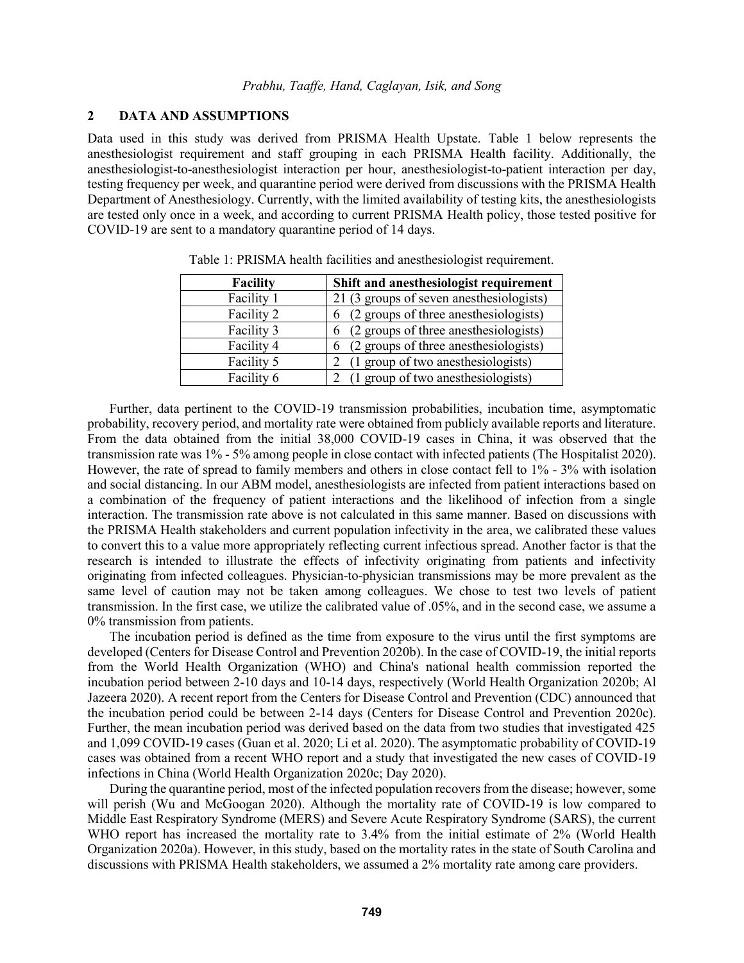### **2 DATA AND ASSUMPTIONS**

Data used in this study was derived from PRISMA Health Upstate. Table 1 below represents the anesthesiologist requirement and staff grouping in each PRISMA Health facility. Additionally, the anesthesiologist-to-anesthesiologist interaction per hour, anesthesiologist-to-patient interaction per day, testing frequency per week, and quarantine period were derived from discussions with the PRISMA Health Department of Anesthesiology. Currently, with the limited availability of testing kits, the anesthesiologists are tested only once in a week, and according to current PRISMA Health policy, those tested positive for COVID-19 are sent to a mandatory quarantine period of 14 days.

| <b>Facility</b> | Shift and anesthesiologist requirement     |
|-----------------|--------------------------------------------|
| Facility 1      | 21 (3 groups of seven anesthesiologists)   |
| Facility 2      | (2 groups of three anesthesiologists)<br>6 |
| Facility 3      | (2 groups of three anesthesiologists)<br>6 |
| Facility 4      | (2 groups of three anesthesiologists)<br>6 |
| Facility 5      | (1 group of two anesthesiologists)         |
| Facility 6      | (1 group of two anesthesiologists)         |

Table 1: PRISMA health facilities and anesthesiologist requirement.

Further, data pertinent to the COVID-19 transmission probabilities, incubation time, asymptomatic probability, recovery period, and mortality rate were obtained from publicly available reports and literature. From the data obtained from the initial 38,000 COVID-19 cases in China, it was observed that the transmission rate was 1% - 5% among people in close contact with infected patients (The Hospitalist 2020). However, the rate of spread to family members and others in close contact fell to 1% - 3% with isolation and social distancing. In our ABM model, anesthesiologists are infected from patient interactions based on a combination of the frequency of patient interactions and the likelihood of infection from a single interaction. The transmission rate above is not calculated in this same manner. Based on discussions with the PRISMA Health stakeholders and current population infectivity in the area, we calibrated these values to convert this to a value more appropriately reflecting current infectious spread. Another factor is that the research is intended to illustrate the effects of infectivity originating from patients and infectivity originating from infected colleagues. Physician-to-physician transmissions may be more prevalent as the same level of caution may not be taken among colleagues. We chose to test two levels of patient transmission. In the first case, we utilize the calibrated value of .05%, and in the second case, we assume a 0% transmission from patients.

The incubation period is defined as the time from exposure to the virus until the first symptoms are developed (Centers for Disease Control and Prevention 2020b). In the case of COVID-19, the initial reports from the World Health Organization (WHO) and China's national health commission reported the incubation period between 2-10 days and 10-14 days, respectively (World Health Organization 2020b; Al Jazeera 2020). A recent report from the Centers for Disease Control and Prevention (CDC) announced that the incubation period could be between 2-14 days (Centers for Disease Control and Prevention 2020c). Further, the mean incubation period was derived based on the data from two studies that investigated 425 and 1,099 COVID-19 cases (Guan et al. 2020; Li et al. 2020). The asymptomatic probability of COVID-19 cases was obtained from a recent WHO report and a study that investigated the new cases of COVID-19 infections in China (World Health Organization 2020c; Day 2020).

During the quarantine period, most of the infected population recovers from the disease; however, some will perish (Wu and McGoogan 2020). Although the mortality rate of COVID-19 is low compared to Middle East Respiratory Syndrome (MERS) and Severe Acute Respiratory Syndrome (SARS), the current WHO report has increased the mortality rate to 3.4% from the initial estimate of 2% (World Health Organization 2020a). However, in this study, based on the mortality rates in the state of South Carolina and discussions with PRISMA Health stakeholders, we assumed a 2% mortality rate among care providers.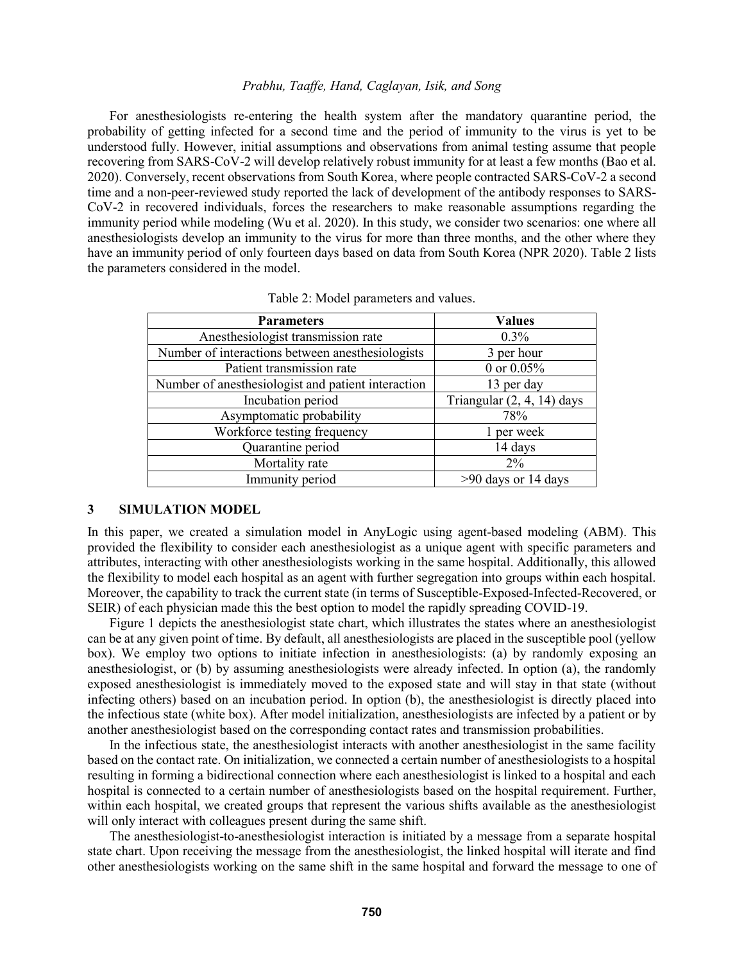For anesthesiologists re-entering the health system after the mandatory quarantine period, the probability of getting infected for a second time and the period of immunity to the virus is yet to be understood fully. However, initial assumptions and observations from animal testing assume that people recovering from SARS-CoV-2 will develop relatively robust immunity for at least a few months (Bao et al. 2020). Conversely, recent observations from South Korea, where people contracted SARS-CoV-2 a second time and a non-peer-reviewed study reported the lack of development of the antibody responses to SARS-CoV-2 in recovered individuals, forces the researchers to make reasonable assumptions regarding the immunity period while modeling (Wu et al. 2020). In this study, we consider two scenarios: one where all anesthesiologists develop an immunity to the virus for more than three months, and the other where they have an immunity period of only fourteen days based on data from South Korea (NPR 2020). Table 2 lists the parameters considered in the model.

| Table 2: Model parameters and values. |  |  |  |
|---------------------------------------|--|--|--|
|---------------------------------------|--|--|--|

| <b>Parameters</b>                                  | <b>Values</b>              |
|----------------------------------------------------|----------------------------|
| Anesthesiologist transmission rate                 | $0.3\%$                    |
| Number of interactions between anesthesiologists   | 3 per hour                 |
| Patient transmission rate                          | 0 or $0.05\%$              |
| Number of anesthesiologist and patient interaction | 13 per day                 |
| Incubation period                                  | Triangular (2, 4, 14) days |
| Asymptomatic probability                           | 78%                        |
| Workforce testing frequency                        | 1 per week                 |
| Quarantine period                                  | 14 days                    |
| Mortality rate                                     | $2\%$                      |
| Immunity period                                    | $>90$ days or 14 days      |

#### **3 SIMULATION MODEL**

In this paper, we created a simulation model in AnyLogic using agent-based modeling (ABM). This provided the flexibility to consider each anesthesiologist as a unique agent with specific parameters and attributes, interacting with other anesthesiologists working in the same hospital. Additionally, this allowed the flexibility to model each hospital as an agent with further segregation into groups within each hospital. Moreover, the capability to track the current state (in terms of Susceptible-Exposed-Infected-Recovered, or SEIR) of each physician made this the best option to model the rapidly spreading COVID-19.

Figure 1 depicts the anesthesiologist state chart, which illustrates the states where an anesthesiologist can be at any given point of time. By default, all anesthesiologists are placed in the susceptible pool (yellow box). We employ two options to initiate infection in anesthesiologists: (a) by randomly exposing an anesthesiologist, or (b) by assuming anesthesiologists were already infected. In option (a), the randomly exposed anesthesiologist is immediately moved to the exposed state and will stay in that state (without infecting others) based on an incubation period. In option (b), the anesthesiologist is directly placed into the infectious state (white box). After model initialization, anesthesiologists are infected by a patient or by another anesthesiologist based on the corresponding contact rates and transmission probabilities.

In the infectious state, the anesthesiologist interacts with another anesthesiologist in the same facility based on the contact rate. On initialization, we connected a certain number of anesthesiologists to a hospital resulting in forming a bidirectional connection where each anesthesiologist is linked to a hospital and each hospital is connected to a certain number of anesthesiologists based on the hospital requirement. Further, within each hospital, we created groups that represent the various shifts available as the anesthesiologist will only interact with colleagues present during the same shift.

The anesthesiologist-to-anesthesiologist interaction is initiated by a message from a separate hospital state chart. Upon receiving the message from the anesthesiologist, the linked hospital will iterate and find other anesthesiologists working on the same shift in the same hospital and forward the message to one of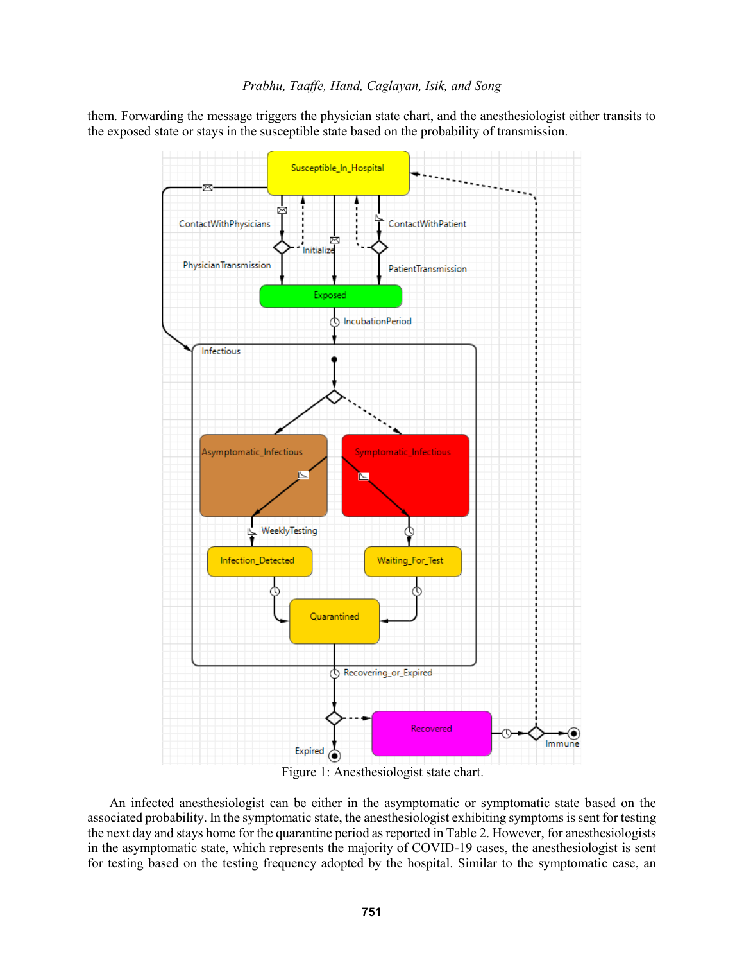them. Forwarding the message triggers the physician state chart, and the anesthesiologist either transits to the exposed state or stays in the susceptible state based on the probability of transmission.



Figure 1: Anesthesiologist state chart.

An infected anesthesiologist can be either in the asymptomatic or symptomatic state based on the associated probability. In the symptomatic state, the anesthesiologist exhibiting symptoms is sent for testing the next day and stays home for the quarantine period as reported in Table 2. However, for anesthesiologists in the asymptomatic state, which represents the majority of COVID-19 cases, the anesthesiologist is sent for testing based on the testing frequency adopted by the hospital. Similar to the symptomatic case, an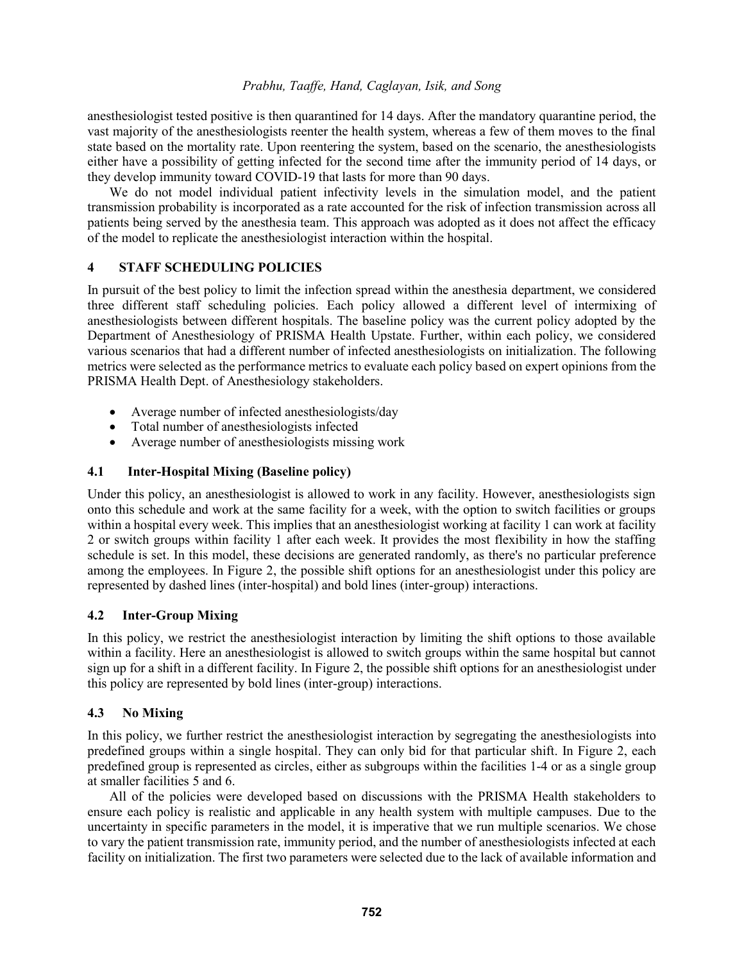anesthesiologist tested positive is then quarantined for 14 days. After the mandatory quarantine period, the vast majority of the anesthesiologists reenter the health system, whereas a few of them moves to the final state based on the mortality rate. Upon reentering the system, based on the scenario, the anesthesiologists either have a possibility of getting infected for the second time after the immunity period of 14 days, or they develop immunity toward COVID-19 that lasts for more than 90 days.

We do not model individual patient infectivity levels in the simulation model, and the patient transmission probability is incorporated as a rate accounted for the risk of infection transmission across all patients being served by the anesthesia team. This approach was adopted as it does not affect the efficacy of the model to replicate the anesthesiologist interaction within the hospital.

## **4 STAFF SCHEDULING POLICIES**

In pursuit of the best policy to limit the infection spread within the anesthesia department, we considered three different staff scheduling policies. Each policy allowed a different level of intermixing of anesthesiologists between different hospitals. The baseline policy was the current policy adopted by the Department of Anesthesiology of PRISMA Health Upstate. Further, within each policy, we considered various scenarios that had a different number of infected anesthesiologists on initialization. The following metrics were selected as the performance metrics to evaluate each policy based on expert opinions from the PRISMA Health Dept. of Anesthesiology stakeholders.

- Average number of infected anesthesiologists/day
- Total number of anesthesiologists infected
- Average number of anesthesiologists missing work

## **4.1 Inter-Hospital Mixing (Baseline policy)**

Under this policy, an anesthesiologist is allowed to work in any facility. However, anesthesiologists sign onto this schedule and work at the same facility for a week, with the option to switch facilities or groups within a hospital every week. This implies that an anesthesiologist working at facility 1 can work at facility 2 or switch groups within facility 1 after each week. It provides the most flexibility in how the staffing schedule is set. In this model, these decisions are generated randomly, as there's no particular preference among the employees. In Figure 2, the possible shift options for an anesthesiologist under this policy are represented by dashed lines (inter-hospital) and bold lines (inter-group) interactions.

## **4.2 Inter-Group Mixing**

In this policy, we restrict the anesthesiologist interaction by limiting the shift options to those available within a facility. Here an anesthesiologist is allowed to switch groups within the same hospital but cannot sign up for a shift in a different facility. In Figure 2, the possible shift options for an anesthesiologist under this policy are represented by bold lines (inter-group) interactions.

## **4.3 No Mixing**

In this policy, we further restrict the anesthesiologist interaction by segregating the anesthesiologists into predefined groups within a single hospital. They can only bid for that particular shift. In Figure 2, each predefined group is represented as circles, either as subgroups within the facilities 1-4 or as a single group at smaller facilities 5 and 6.

All of the policies were developed based on discussions with the PRISMA Health stakeholders to ensure each policy is realistic and applicable in any health system with multiple campuses. Due to the uncertainty in specific parameters in the model, it is imperative that we run multiple scenarios. We chose to vary the patient transmission rate, immunity period, and the number of anesthesiologists infected at each facility on initialization. The first two parameters were selected due to the lack of available information and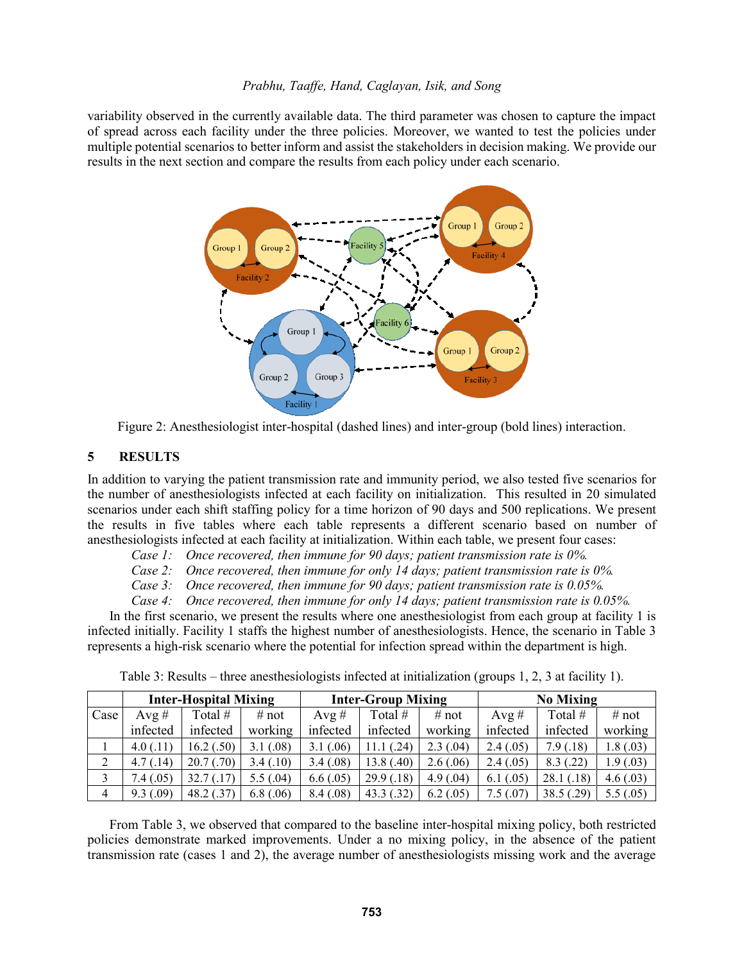variability observed in the currently available data. The third parameter was chosen to capture the impact of spread across each facility under the three policies. Moreover, we wanted to test the policies under multiple potential scenarios to better inform and assist the stakeholders in decision making. We provide our results in the next section and compare the results from each policy under each scenario.



Figure 2: Anesthesiologist inter-hospital (dashed lines) and inter-group (bold lines) interaction.

### **5 RESULTS**

In addition to varying the patient transmission rate and immunity period, we also tested five scenarios for the number of anesthesiologists infected at each facility on initialization. This resulted in 20 simulated scenarios under each shift staffing policy for a time horizon of 90 days and 500 replications. We present the results in five tables where each table represents a different scenario based on number of anesthesiologists infected at each facility at initialization. Within each table, we present four cases:

*Case 1: Once recovered, then immune for 90 days; patient transmission rate is 0%.*

*Case 2: Once recovered, then immune for only 14 days; patient transmission rate is 0%.*

*Case 3: Once recovered, then immune for 90 days; patient transmission rate is 0.05%.* 

*Case 4: Once recovered, then immune for only 14 days; patient transmission rate is 0.05%.*

In the first scenario, we present the results where one anesthesiologist from each group at facility 1 is infected initially. Facility 1 staffs the highest number of anesthesiologists. Hence, the scenario in Table 3 represents a high-risk scenario where the potential for infection spread within the department is high.

|                | <b>Inter-Hospital Mixing</b> |            |           | <b>Inter-Group Mixing</b> |            |             | <b>No Mixing</b> |           |           |
|----------------|------------------------------|------------|-----------|---------------------------|------------|-------------|------------------|-----------|-----------|
| Case           | $Avg \#$                     | Total #    | # not     | $Avg \#$                  | Total #    | # not       | Avg #            | Total #   | # not     |
|                | infected                     | infected   | working   | infected                  | infected   | working     | infected         | infected  | working   |
|                | 4.0(0.11)                    | 16.2(0.50) | 3.1(0.08) | 3.1(0.06)                 | 11.1(.24)  | 2.3(0.04)   | 2.4(.05)         | 7.9(0.18) | 1.8(0.03) |
| 2              | 4.7(0.14)                    | 20.7(0.70) | 3.4(0.10) | 3.4(0.08)                 | 13.8(0.40) | 2.6(.06)    | 2.4(.05)         | 8.3(0.22) | 1.9(0.03) |
| 3              | 7.4(.05)                     | 32.7(0.17) | 5.5(.04)  | 6.6(.05)                  | 29.9(0.18) | 4.9(0.04)   | 6.1(0.05)        | 28.1(.18) | 4.6(0.03) |
| $\overline{4}$ | 9.3(0.09)                    | 48.2 (.37) | 6.8(0.06) | 8.4(.08)                  | 43.3(0.32) | $6.2$ (.05) | 7.5(0.07)        | 38.5(.29) | 5.5(.05)  |

Table 3: Results – three anesthesiologists infected at initialization (groups 1, 2, 3 at facility 1).

From Table 3, we observed that compared to the baseline inter-hospital mixing policy, both restricted policies demonstrate marked improvements. Under a no mixing policy, in the absence of the patient transmission rate (cases 1 and 2), the average number of anesthesiologists missing work and the average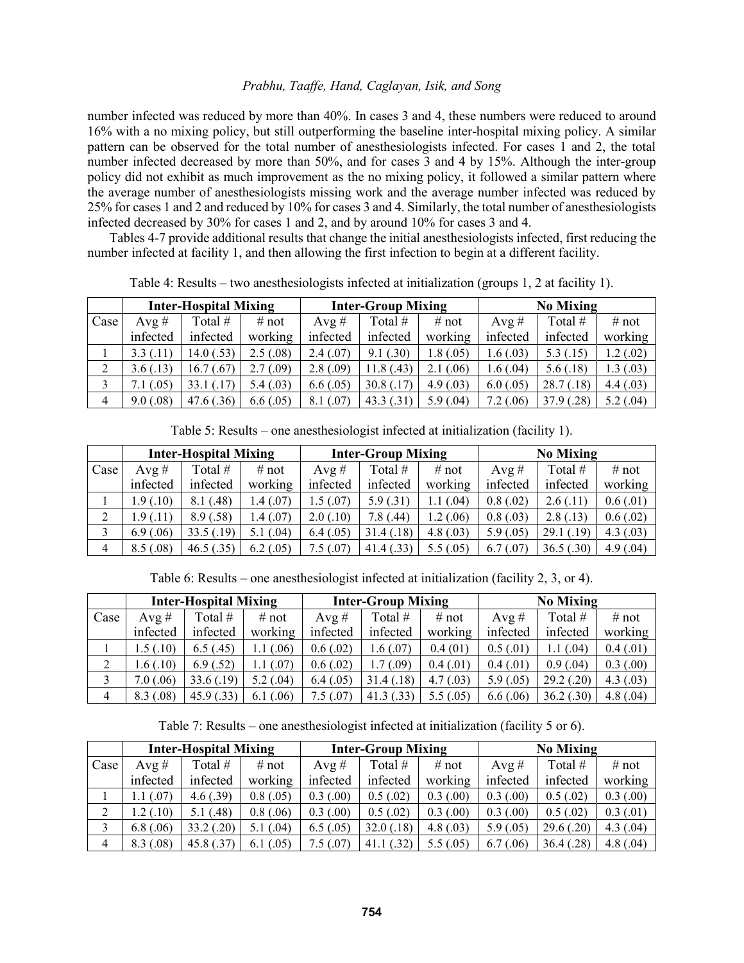number infected was reduced by more than 40%. In cases 3 and 4, these numbers were reduced to around 16% with a no mixing policy, but still outperforming the baseline inter-hospital mixing policy. A similar pattern can be observed for the total number of anesthesiologists infected. For cases 1 and 2, the total number infected decreased by more than 50%, and for cases 3 and 4 by 15%. Although the inter-group policy did not exhibit as much improvement as the no mixing policy, it followed a similar pattern where the average number of anesthesiologists missing work and the average number infected was reduced by 25% for cases 1 and 2 and reduced by 10% for cases 3 and 4. Similarly, the total number of anesthesiologists infected decreased by 30% for cases 1 and 2, and by around 10% for cases 3 and 4.

Tables 4-7 provide additional results that change the initial anesthesiologists infected, first reducing the number infected at facility 1, and then allowing the first infection to begin at a different facility.

|                | <b>Inter-Hospital Mixing</b> |              |           | <b>Inter-Group Mixing</b> |            |           | <b>No Mixing</b> |            |           |
|----------------|------------------------------|--------------|-----------|---------------------------|------------|-----------|------------------|------------|-----------|
| Case           | $Avg \#$                     | Total #      | # not     | $Avg \#$                  | Total $#$  | # not     | $Avg \#$         | Total #    | # not     |
|                | infected                     | infected     | working   | infected                  | infected   | working   | infected         | infected   | working   |
|                | 3.3(0.11)                    | 14.0 $(.53)$ | 2.5(.08)  | 2.4(.07)                  | 9.1(.30)   | 1.8(0.05) | 1.6(0.03)        | 5.3(0.15)  | 1.2(02)   |
| 2              | 3.6(.13)                     | 16.7(0.67)   | 2.7(0.09) | 2.8(.09)                  | 11.8(0.43) | 2.1(0.06) | 1.6(0.04)        | 5.6(.18)   | 1.3(0.03) |
|                | 7.1(0.05)                    | 33.1(0.17)   | 5.4(0.03) | 6.6(.05)                  | 30.8(0.17) | 4.9(0.03) | 6.0(0.05)        | 28.7(0.18) | 4.4(03)   |
| $\overline{4}$ | 9.0(.08)                     | 47.6(.36)    | 6.6(.05)  | 8.1(0.07)                 | 43.3(0.31) | 5.9(0.04) | 7.2(0.06)        | 37.9(0.28) | 5.2(.04)  |

Table 4: Results – two anesthesiologists infected at initialization (groups 1, 2 at facility 1).

Table 5: Results – one anesthesiologist infected at initialization (facility 1).

|                | <b>Inter-Hospital Mixing</b> |                |           | <b>Inter-Group Mixing</b> |            |           | <b>No Mixing</b> |            |           |
|----------------|------------------------------|----------------|-----------|---------------------------|------------|-----------|------------------|------------|-----------|
| Case           | $Avg \#$                     | Total #        | # not     | $Avg \#$                  | Total $#$  | # not     | Avg #            | Total #    | # not     |
|                | infected                     | infected       | working   | infected                  | infected   | working   | infected         | infected   | working   |
|                | 1.9(0.10)                    | (.48)<br>8.1 ( | 1.4(07)   | 1.5(0.07)                 | 5.9(0.31)  | 1.1(0.04) | 0.8(0.02)        | 2.6(0.11)  | 0.6(0.01) |
|                | 1.9(0.11)                    | 8.9(.58)       | 1.4 (.07) | 2.0(0.10)                 | 7.8(0.44)  | 1.2(0.06) | 0.8(0.03)        | 2.8(0.13)  | 0.6(0.02) |
|                | 6.9(0.06)                    | 33.5(.19)      | 5.1(0.04) | 6.4(0.05)                 | 31.4(0.18) | 4.8(0.03) | 5.9(0.05)        | 29.1(0.19) | 4.3(0.03) |
| $\overline{4}$ | 8.5(.08)                     | 46.5(.35)      | 6.2(0.05) | 7.5 (.07)                 | 41.4(0.33) | 5.5(.05)  | 6.7(0.07)        | 36.5(.30)  | 4.9(0.04) |

Table 6: Results – one anesthesiologist infected at initialization (facility 2, 3, or 4).

|                | <b>Inter-Hospital Mixing</b> |            |           | <b>Inter-Group Mixing</b> |            |           | <b>No Mixing</b> |            |             |
|----------------|------------------------------|------------|-----------|---------------------------|------------|-----------|------------------|------------|-------------|
| Case           | $Avg \#$                     | Total $#$  | # not     | Avg $#$                   | Total $#$  | # not     | $Avg \#$         | Total #    | # not       |
|                | infected                     | infected   | working   | infected                  | infected   | working   | infected         | infected   | working     |
|                | 1.5(0.10)                    | 6.5(0.45)  | (.06)     | 0.6(0.02)                 | 1.6(0.07)  | 0.4(01)   | 0.5(0.01)        | 1.1(0.04)  | 0.4(0.01)   |
| 2              | 1.6(0.10)                    | 6.9(0.52)  | (.07)     | 0.6(0.02)                 | 1.7(0.09)  | 0.4(0.01) | 0.4(0.01)        | 0.9(0.04)  | 0.3(0.00)   |
|                | 7.0(0.06)                    | 33.6(.19)  | 5.2(0.04) | 6.4(0.05)                 | 31.4(0.18) | 4.7(0.03) | 5.9(.05)         | 29.2(0.20) | 4.3(0.03)   |
| $\overline{4}$ | 8.3(0.08)                    | 45.9(0.33) | 06<br>6.1 | 7.5(.07)                  | 41.3(0.33) | 5.5(.05)  | 6.6(0.06)        | 36.2(0.30) | 4.8 $(.04)$ |

Table 7: Results – one anesthesiologist infected at initialization (facility 5 or 6).

|                | <b>Inter-Hospital Mixing</b> |            |           | <b>Inter-Group Mixing</b> |            |           | <b>No Mixing</b> |            |           |
|----------------|------------------------------|------------|-----------|---------------------------|------------|-----------|------------------|------------|-----------|
| Case           | $Avg \#$                     | Total $#$  | # not     | $Avg \#$                  | Total #    | # not     | $Avg \#$         | Total #    | # not     |
|                | infected                     | infected   | working   | infected                  | infected   | working   | infected         | infected   | working   |
|                | 1.1(07)                      | 4.6(.39)   | 0.8(0.05) | 0.3(0.00)                 | 0.5(0.02)  | 0.3(0.00) | 0.3(0.00)        | 0.5(0.02)  | 0.3(0.00) |
| ∠              | 1.2(0.10)                    | 5.1(0.48)  | 0.8(0.06) | 0.3(0.00)                 | 0.5(0.02)  | 0.3(0.00) | 0.3(0.00)        | 0.5(0.02)  | 0.3(0.01) |
| 3              | 6.8(0.06)                    | 33.2(0.20) | 5.1(0.04) | 6.5(0.05)                 | 32.0(0.18) | 4.8(0.03) | 5.9(0.05)        | 29.6(.20)  | 4.3(0.04) |
| $\overline{4}$ | 8.3(0.08)                    | 45.8 (.37) | 6.1(0.05) | 7.5(0.07)                 | 41.1(0.32) | 5.5(.05)  | 6.7(0.06)        | 36.4(0.28) | 4.8(0.04) |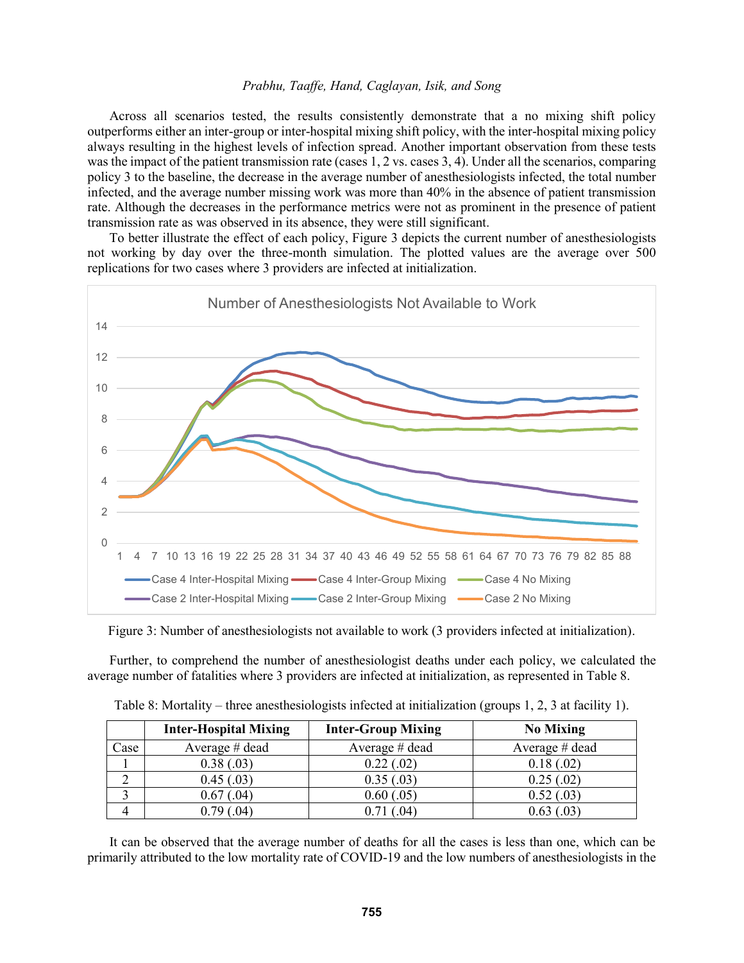Across all scenarios tested, the results consistently demonstrate that a no mixing shift policy outperforms either an inter-group or inter-hospital mixing shift policy, with the inter-hospital mixing policy always resulting in the highest levels of infection spread. Another important observation from these tests was the impact of the patient transmission rate (cases 1, 2 vs. cases 3, 4). Under all the scenarios, comparing policy 3 to the baseline, the decrease in the average number of anesthesiologists infected, the total number infected, and the average number missing work was more than 40% in the absence of patient transmission rate. Although the decreases in the performance metrics were not as prominent in the presence of patient transmission rate as was observed in its absence, they were still significant.

To better illustrate the effect of each policy, Figure 3 depicts the current number of anesthesiologists not working by day over the three-month simulation. The plotted values are the average over 500 replications for two cases where 3 providers are infected at initialization.



Figure 3: Number of anesthesiologists not available to work (3 providers infected at initialization).

Further, to comprehend the number of anesthesiologist deaths under each policy, we calculated the average number of fatalities where 3 providers are infected at initialization, as represented in Table 8.

|      | <b>Inter-Hospital Mixing</b> | <b>Inter-Group Mixing</b> | <b>No Mixing</b> |
|------|------------------------------|---------------------------|------------------|
| Case | Average # dead               | Average # dead            | Average $#$ dead |
|      | 0.38(0.03)                   | 0.22(0.02)                | 0.18(.02)        |
|      | 0.45(0.03)                   | 0.35(0.03)                | 0.25(.02)        |
|      | 0.67(0.04)                   | 0.60(0.05)                | 0.52(0.03)       |
|      | 0.79(0.04)                   | $.04^{\circ}$             | 0.63(0.03)       |

Table 8: Mortality – three anesthesiologists infected at initialization (groups 1, 2, 3 at facility 1).

It can be observed that the average number of deaths for all the cases is less than one, which can be primarily attributed to the low mortality rate of COVID-19 and the low numbers of anesthesiologists in the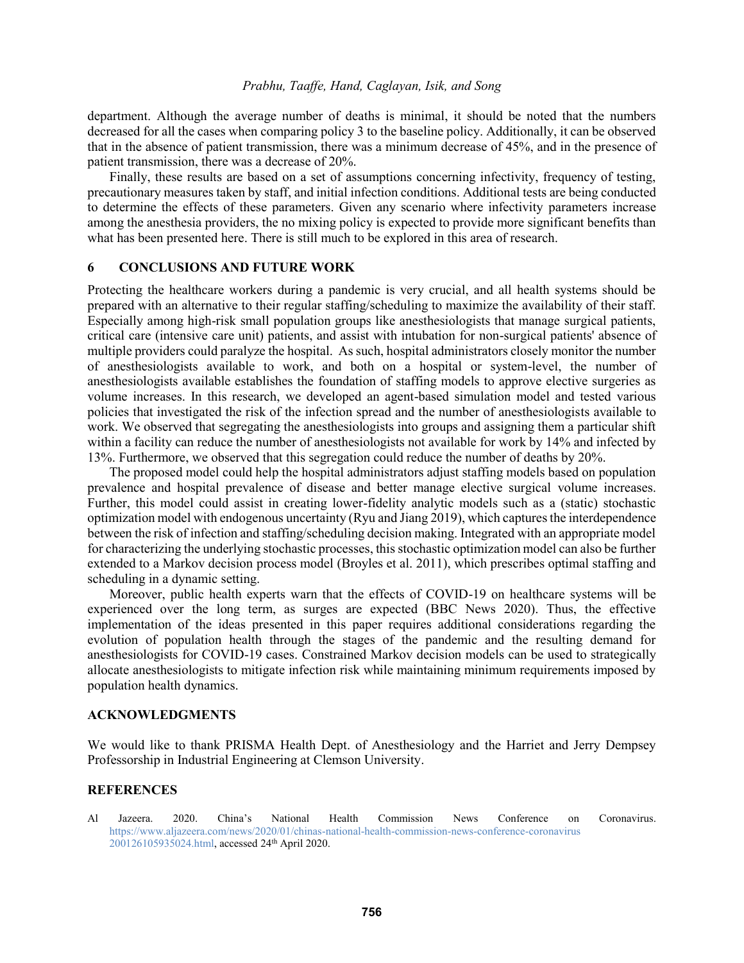department. Although the average number of deaths is minimal, it should be noted that the numbers decreased for all the cases when comparing policy 3 to the baseline policy. Additionally, it can be observed that in the absence of patient transmission, there was a minimum decrease of 45%, and in the presence of patient transmission, there was a decrease of 20%.

Finally, these results are based on a set of assumptions concerning infectivity, frequency of testing, precautionary measures taken by staff, and initial infection conditions. Additional tests are being conducted to determine the effects of these parameters. Given any scenario where infectivity parameters increase among the anesthesia providers, the no mixing policy is expected to provide more significant benefits than what has been presented here. There is still much to be explored in this area of research.

### **6 CONCLUSIONS AND FUTURE WORK**

Protecting the healthcare workers during a pandemic is very crucial, and all health systems should be prepared with an alternative to their regular staffing/scheduling to maximize the availability of their staff. Especially among high-risk small population groups like anesthesiologists that manage surgical patients, critical care (intensive care unit) patients, and assist with intubation for non-surgical patients' absence of multiple providers could paralyze the hospital. As such, hospital administrators closely monitor the number of anesthesiologists available to work, and both on a hospital or system-level, the number of anesthesiologists available establishes the foundation of staffing models to approve elective surgeries as volume increases. In this research, we developed an agent-based simulation model and tested various policies that investigated the risk of the infection spread and the number of anesthesiologists available to work. We observed that segregating the anesthesiologists into groups and assigning them a particular shift within a facility can reduce the number of anesthesiologists not available for work by 14% and infected by 13%. Furthermore, we observed that this segregation could reduce the number of deaths by 20%.

The proposed model could help the hospital administrators adjust staffing models based on population prevalence and hospital prevalence of disease and better manage elective surgical volume increases. Further, this model could assist in creating lower-fidelity analytic models such as a (static) stochastic optimization model with endogenous uncertainty (Ryu and Jiang 2019), which captures the interdependence between the risk of infection and staffing/scheduling decision making. Integrated with an appropriate model for characterizing the underlying stochastic processes, this stochastic optimization model can also be further extended to a Markov decision process model (Broyles et al. 2011), which prescribes optimal staffing and scheduling in a dynamic setting.

Moreover, public health experts warn that the effects of COVID-19 on healthcare systems will be experienced over the long term, as surges are expected (BBC News 2020). Thus, the effective implementation of the ideas presented in this paper requires additional considerations regarding the evolution of population health through the stages of the pandemic and the resulting demand for anesthesiologists for COVID-19 cases. Constrained Markov decision models can be used to strategically allocate anesthesiologists to mitigate infection risk while maintaining minimum requirements imposed by population health dynamics.

### **ACKNOWLEDGMENTS**

We would like to thank PRISMA Health Dept. of Anesthesiology and the Harriet and Jerry Dempsey Professorship in Industrial Engineering at Clemson University.

#### **REFERENCES**

Al Jazeera. 2020. China's National Health Commission News Conference on Coronavirus. [https://www.aljazeera.com/news/2020/01/chinas-national-health-commission-news-conference-coronavirus](https://www.aljazeera.com/news/2020/01/chinas-national-health-commission-news-conference-coronavirus%20200126105935024.html)  [200126105935024.html,](https://www.aljazeera.com/news/2020/01/chinas-national-health-commission-news-conference-coronavirus%20200126105935024.html) accessed 24th April 2020.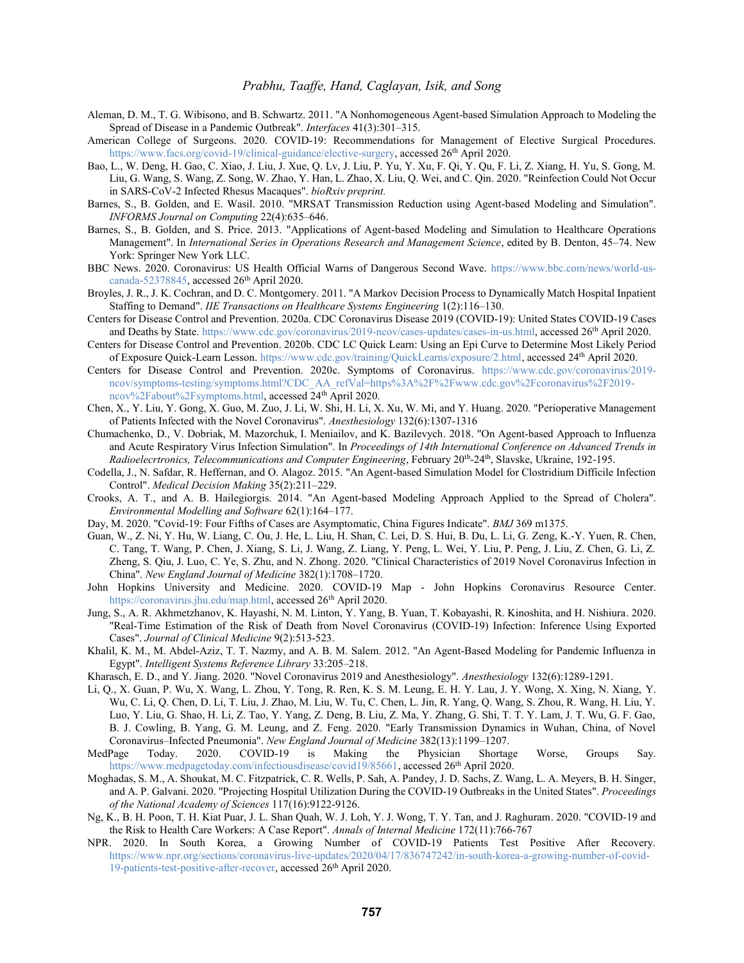- Aleman, D. M., T. G. Wibisono, and B. Schwartz. 2011. "A Nonhomogeneous Agent-based Simulation Approach to Modeling the Spread of Disease in a Pandemic Outbreak". *Interfaces* 41(3):301–315.
- American College of Surgeons. 2020. COVID-19: Recommendations for Management of Elective Surgical Procedures. [https://www.facs.org/covid-19/clinical-guidance/elective-surgery,](https://www.facs.org/covid-19/clinical-guidance/elective-surgery) accessed 26<sup>th</sup> April 2020.
- Bao, L., W. Deng, H. Gao, C. Xiao, J. Liu, J. Xue, Q. Lv, J. Liu, P. Yu, Y. Xu, F. Qi, Y. Qu, F. Li, Z. Xiang, H. Yu, S. Gong, M. Liu, G. Wang, S. Wang, Z. Song, W. Zhao, Y. Han, L. Zhao, X. Liu, Q. Wei, and C. Qin. 2020. "Reinfection Could Not Occur in SARS-CoV-2 Infected Rhesus Macaques". *bioRxiv preprint.*
- Barnes, S., B. Golden, and E. Wasil. 2010. "MRSAT Transmission Reduction using Agent-based Modeling and Simulation". *INFORMS Journal on Computing* 22(4):635–646.
- Barnes, S., B. Golden, and S. Price. 2013. "Applications of Agent-based Modeling and Simulation to Healthcare Operations Management". In *International Series in Operations Research and Management Science*, edited by B. Denton, 45–74. New York: Springer New York LLC.
- BBC News. 2020. Coronavirus: US Health Official Warns of Dangerous Second Wave. [https://www.bbc.com/news/world-us](https://www.bbc.com/news/world-us-canada-52378845)[canada-52378845,](https://www.bbc.com/news/world-us-canada-52378845) accessed 26th April 2020.
- Broyles, J. R., J. K. Cochran, and D. C. Montgomery. 2011. "A Markov Decision Process to Dynamically Match Hospital Inpatient Staffing to Demand". *IIE Transactions on Healthcare Systems Engineering* 1(2):116–130.
- Centers for Disease Control and Prevention. 2020a. CDC Coronavirus Disease 2019 (COVID-19): United States COVID-19 Cases and Deaths by State. [https://www.cdc.gov/coronavirus/2019-ncov/cases-updates/cases-in-us.html,](https://www.cdc.gov/coronavirus/2019-ncov/cases-updates/cases-in-us.html) accessed 26<sup>th</sup> April 2020.
- Centers for Disease Control and Prevention. 2020b. CDC LC Quick Learn: Using an Epi Curve to Determine Most Likely Period of Exposure Quick-Learn Lesson. [https://www.cdc.gov/training/QuickLearns/exposure/2.html,](https://www.cdc.gov/training/QuickLearns/exposure/2.html) accessed 24th April 2020.
- Centers for Disease Control and Prevention. 2020c. Symptoms of Coronavirus. [https://www.cdc.gov/coronavirus/2019](https://www.cdc.gov/coronavirus/2019-ncov/symptoms-testing/symptoms.html?CDC_AA_refVal=https%3A%2F%2Fwww.cdc.gov%2Fcoronavirus%2F2019-ncov%2Fabout%2Fsymptoms.html) [ncov/symptoms-testing/symptoms.html?CDC\\_AA\\_refVal=https%3A%2F%2Fwww.cdc.gov%2Fcoronavirus%2F2019](https://www.cdc.gov/coronavirus/2019-ncov/symptoms-testing/symptoms.html?CDC_AA_refVal=https%3A%2F%2Fwww.cdc.gov%2Fcoronavirus%2F2019-ncov%2Fabout%2Fsymptoms.html) [ncov%2Fabout%2Fsymptoms.html,](https://www.cdc.gov/coronavirus/2019-ncov/symptoms-testing/symptoms.html?CDC_AA_refVal=https%3A%2F%2Fwww.cdc.gov%2Fcoronavirus%2F2019-ncov%2Fabout%2Fsymptoms.html) accessed 24th April 2020.
- Chen, X., Y. Liu, Y. Gong, X. Guo, M. Zuo, J. Li, W. Shi, H. Li, X. Xu, W. Mi, and Y. Huang. 2020. "Perioperative Management of Patients Infected with the Novel Coronavirus". *Anesthesiology* 132(6):1307-1316
- Chumachenko, D., V. Dobriak, M. Mazorchuk, I. Meniailov, and K. Bazilevych. 2018. "On Agent-based Approach to Influenza and Acute Respiratory Virus Infection Simulation". In *Proceedings of 14th International Conference on Advanced Trends in*  Radioelecrtronics, Telecommunications and Computer Engineering, February 20<sup>th</sup>-24<sup>th</sup>, Slavske, Ukraine, 192-195.
- Codella, J., N. Safdar, R. Heffernan, and O. Alagoz. 2015. "An Agent-based Simulation Model for Clostridium Difficile Infection Control". *Medical Decision Making* 35(2):211–229.
- Crooks, A. T., and A. B. Hailegiorgis. 2014. "An Agent-based Modeling Approach Applied to the Spread of Cholera". *Environmental Modelling and Software* 62(1):164–177.
- Day, M. 2020. "Covid-19: Four Fifths of Cases are Asymptomatic, China Figures Indicate". *BMJ* 369 m1375.
- Guan, W., Z. Ni, Y. Hu, W. Liang, C. Ou, J. He, L. Liu, H. Shan, C. Lei, D. S. Hui, B. Du, L. Li, G. Zeng, K.-Y. Yuen, R. Chen, C. Tang, T. Wang, P. Chen, J. Xiang, S. Li, J. Wang, Z. Liang, Y. Peng, L. Wei, Y. Liu, P. Peng, J. Liu, Z. Chen, G. Li, Z. Zheng, S. Qiu, J. Luo, C. Ye, S. Zhu, and N. Zhong. 2020. "Clinical Characteristics of 2019 Novel Coronavirus Infection in China". *New England Journal of Medicine* 382(1):1708–1720.
- John Hopkins University and Medicine. 2020. COVID-19 Map John Hopkins Coronavirus Resource Center. [https://coronavirus.jhu.edu/map.html,](https://coronavirus.jhu.edu/map.html) accessed 26<sup>th</sup> April 2020.
- Jung, S., A. R. Akhmetzhanov, K. Hayashi, N. M. Linton, Y. Yang, B. Yuan, T. Kobayashi, R. Kinoshita, and H. Nishiura. 2020. "Real-Time Estimation of the Risk of Death from Novel Coronavirus (COVID-19) Infection: Inference Using Exported Cases". *Journal of Clinical Medicine* 9(2):513-523.
- Khalil, K. M., M. Abdel-Aziz, T. T. Nazmy, and A. B. M. Salem. 2012. "An Agent-Based Modeling for Pandemic Influenza in Egypt". *Intelligent Systems Reference Library* 33:205–218.
- Kharasch, E. D., and Y. Jiang. 2020. "Novel Coronavirus 2019 and Anesthesiology". *Anesthesiology* 132(6):1289-1291.
- Li, Q., X. Guan, P. Wu, X. Wang, L. Zhou, Y. Tong, R. Ren, K. S. M. Leung, E. H. Y. Lau, J. Y. Wong, X. Xing, N. Xiang, Y. Wu, C. Li, Q. Chen, D. Li, T. Liu, J. Zhao, M. Liu, W. Tu, C. Chen, L. Jin, R. Yang, Q. Wang, S. Zhou, R. Wang, H. Liu, Y. Luo, Y. Liu, G. Shao, H. Li, Z. Tao, Y. Yang, Z. Deng, B. Liu, Z. Ma, Y. Zhang, G. Shi, T. T. Y. Lam, J. T. Wu, G. F. Gao, B. J. Cowling, B. Yang, G. M. Leung, and Z. Feng. 2020. "Early Transmission Dynamics in Wuhan, China, of Novel Coronavirus–Infected Pneumonia". *New England Journal of Medicine* 382(13):1199–1207.
- MedPage Today. 2020. COVID-19 is Making the Physician Shortage Worse, Groups Say. [https://www.medpagetoday.com/infectiousdisease/covid19/85661,](https://www.medpagetoday.com/infectiousdisease/covid19/85661) accessed 26th April 2020.
- Moghadas, S. M., A. Shoukat, M. C. Fitzpatrick, C. R. Wells, P. Sah, A. Pandey, J. D. Sachs, Z. Wang, L. A. Meyers, B. H. Singer, and A. P. Galvani. 2020. "Projecting Hospital Utilization During the COVID-19 Outbreaks in the United States". *Proceedings of the National Academy of Sciences* 117(16):9122-9126.
- Ng, K., B. H. Poon, T. H. Kiat Puar, J. L. Shan Quah, W. J. Loh, Y. J. Wong, T. Y. Tan, and J. Raghuram. 2020. "COVID-19 and the Risk to Health Care Workers: A Case Report". *Annals of Internal Medicine* 172(11):766-767
- NPR. 2020. In South Korea, a Growing Number of COVID-19 Patients Test Positive After Recovery. [https://www.npr.org/sections/coronavirus-live-updates/2020/04/17/836747242/in-south-korea-a-growing-number-of-covid-](https://www.npr.org/sections/coronavirus-live-updates/2020/04/17/836747242/in-south-korea-a-growing-number-of-covid-19-patients-test-positive-after-recover)[19-patients-test-positive-after-recover,](https://www.npr.org/sections/coronavirus-live-updates/2020/04/17/836747242/in-south-korea-a-growing-number-of-covid-19-patients-test-positive-after-recover) accessed 26<sup>th</sup> April 2020.